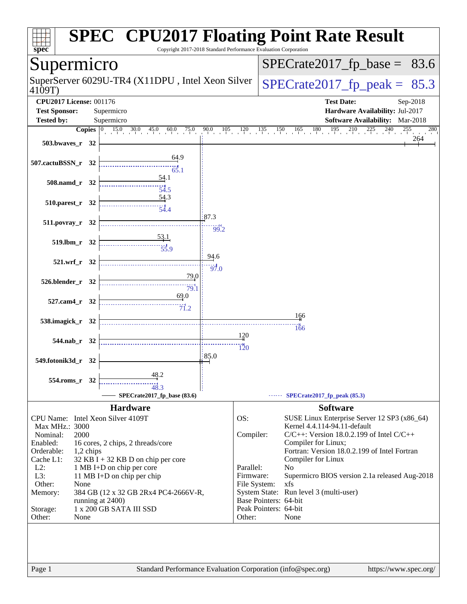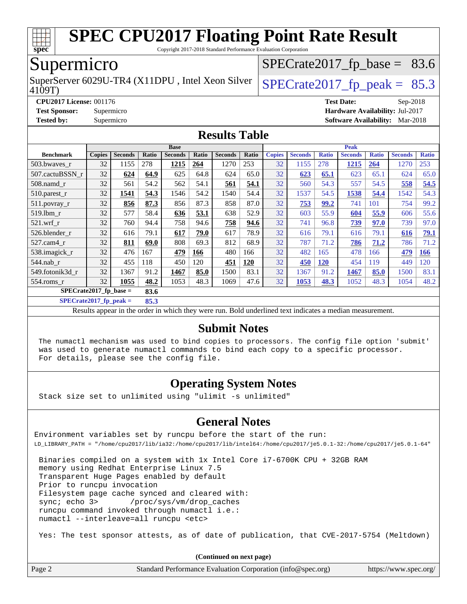

Copyright 2017-2018 Standard Performance Evaluation Corporation

### Supermicro

4109T) SuperServer 6029U-TR4 (X11DPU, Intel Xeon Silver  $\big|$  [SPECrate2017\\_fp\\_peak =](http://www.spec.org/auto/cpu2017/Docs/result-fields.html#SPECrate2017fppeak) 85.3

 $SPECTate2017_fp\_base = 83.6$ 

**[CPU2017 License:](http://www.spec.org/auto/cpu2017/Docs/result-fields.html#CPU2017License)** 001176 **[Test Date:](http://www.spec.org/auto/cpu2017/Docs/result-fields.html#TestDate)** Sep-2018 **[Test Sponsor:](http://www.spec.org/auto/cpu2017/Docs/result-fields.html#TestSponsor)** Supermicro **[Hardware Availability:](http://www.spec.org/auto/cpu2017/Docs/result-fields.html#HardwareAvailability)** Jul-2017 **[Tested by:](http://www.spec.org/auto/cpu2017/Docs/result-fields.html#Testedby)** Supermicro **[Software Availability:](http://www.spec.org/auto/cpu2017/Docs/result-fields.html#SoftwareAvailability)** Mar-2018

#### **[Results Table](http://www.spec.org/auto/cpu2017/Docs/result-fields.html#ResultsTable)**

|                                  | <b>Base</b>   |                |       |                |       | <b>Peak</b>    |            |               |                |              |                |              |                |              |
|----------------------------------|---------------|----------------|-------|----------------|-------|----------------|------------|---------------|----------------|--------------|----------------|--------------|----------------|--------------|
| <b>Benchmark</b>                 | <b>Copies</b> | <b>Seconds</b> | Ratio | <b>Seconds</b> | Ratio | <b>Seconds</b> | Ratio      | <b>Copies</b> | <b>Seconds</b> | <b>Ratio</b> | <b>Seconds</b> | <b>Ratio</b> | <b>Seconds</b> | <b>Ratio</b> |
| 503.bwayes_r                     | 32            | 1155           | 278   | 1215           | 264   | 1270           | 253        | 32            | 1155           | 278          | 1215           | 264          | 1270           | 253          |
| 507.cactuBSSN r                  | 32            | 624            | 64.9  | 625            | 64.8  | 624            | 65.0       | 32            | 623            | 65.1         | 623            | 65.1         | 624            | 65.0         |
| $508$ .namd $r$                  | 32            | 561            | 54.2  | 562            | 54.1  | 561            | 54.1       | 32            | 560            | 54.3         | 557            | 54.5         | 558            | 54.5         |
| $510.parest_r$                   | 32            | 1541           | 54.3  | 1546           | 54.2  | 1540           | 54.4       | 32            | 1537           | 54.5         | 1538           | 54.4         | 1542           | 54.3         |
| 511.povray_r                     | 32            | 856            | 87.3  | 856            | 87.3  | 858            | 87.0       | 32            | 753            | 99.2         | 741            | 101          | 754            | 99.2         |
| $519$ .lbm $r$                   | 32            | 577            | 58.4  | 636            | 53.1  | 638            | 52.9       | 32            | 603            | 55.9         | 604            | 55.9         | 606            | 55.6         |
| $521$ .wrf r                     | 32            | 760            | 94.4  | 758            | 94.6  | 758            | 94.6       | 32            | 741            | 96.8         | 739            | 97.0         | 739            | 97.0         |
| 526.blender r                    | 32            | 616            | 79.1  | 617            | 79.0  | 617            | 78.9       | 32            | 616            | 79.1         | 616            | 79.1         | 616            | <u>79.1</u>  |
| 527.cam4 r                       | 32            | 811            | 69.0  | 808            | 69.3  | 812            | 68.9       | 32            | 787            | 71.2         | 786            | 71.2         | 786            | 71.2         |
| 538.imagick_r                    | 32            | 476            | 167   | 479            | 166   | 480            | 166        | 32            | 482            | 165          | 478            | 166          | 479            | <b>166</b>   |
| $544$ .nab r                     | 32            | 455            | 118   | 450            | 120   | 451            | <b>120</b> | 32            | 450            | <b>120</b>   | 454            | 119          | 449            | 120          |
| 549.fotonik3d r                  | 32            | 1367           | 91.2  | 1467           | 85.0  | 1500           | 83.1       | 32            | 1367           | 91.2         | 1467           | 85.0         | 1500           | 83.1         |
| $554$ .roms r                    | 32            | 1055           | 48.2  | 1053           | 48.3  | 1069           | 47.6       | 32            | 1053           | 48.3         | 1052           | 48.3         | 1054           | 48.2         |
| $SPECrate2017$ fp base =<br>83.6 |               |                |       |                |       |                |            |               |                |              |                |              |                |              |

**[SPECrate2017\\_fp\\_peak =](http://www.spec.org/auto/cpu2017/Docs/result-fields.html#SPECrate2017fppeak) 85.3**

Results appear in the [order in which they were run.](http://www.spec.org/auto/cpu2017/Docs/result-fields.html#RunOrder) Bold underlined text [indicates a median measurement.](http://www.spec.org/auto/cpu2017/Docs/result-fields.html#Median)

#### **[Submit Notes](http://www.spec.org/auto/cpu2017/Docs/result-fields.html#SubmitNotes)**

 The numactl mechanism was used to bind copies to processors. The config file option 'submit' was used to generate numactl commands to bind each copy to a specific processor. For details, please see the config file.

#### **[Operating System Notes](http://www.spec.org/auto/cpu2017/Docs/result-fields.html#OperatingSystemNotes)**

Stack size set to unlimited using "ulimit -s unlimited"

#### **[General Notes](http://www.spec.org/auto/cpu2017/Docs/result-fields.html#GeneralNotes)**

Environment variables set by runcpu before the start of the run: LD\_LIBRARY\_PATH = "/home/cpu2017/lib/ia32:/home/cpu2017/lib/intel64:/home/cpu2017/je5.0.1-32:/home/cpu2017/je5.0.1-64"

 Binaries compiled on a system with 1x Intel Core i7-6700K CPU + 32GB RAM memory using Redhat Enterprise Linux 7.5 Transparent Huge Pages enabled by default Prior to runcpu invocation Filesystem page cache synced and cleared with: sync; echo 3> /proc/sys/vm/drop\_caches runcpu command invoked through numactl i.e.: numactl --interleave=all runcpu <etc>

Yes: The test sponsor attests, as of date of publication, that CVE-2017-5754 (Meltdown)

**(Continued on next page)**

| Page 2 | Standard Performance Evaluation Corporation (info@spec.org) | https://www.spec.org/ |
|--------|-------------------------------------------------------------|-----------------------|
|--------|-------------------------------------------------------------|-----------------------|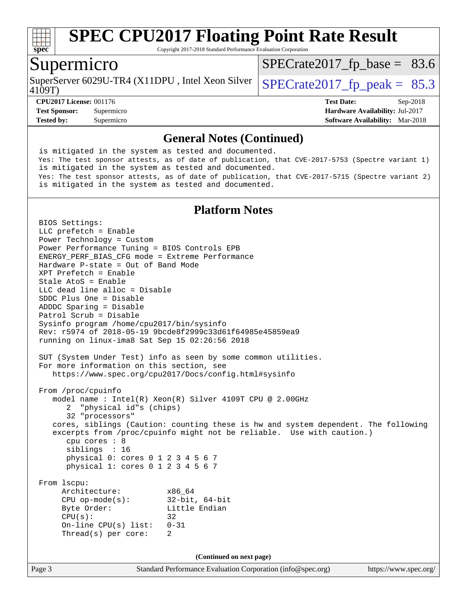

Copyright 2017-2018 Standard Performance Evaluation Corporation

#### Supermicro

4109T) SuperServer 6029U-TR4 (X11DPU, Intel Xeon Silver  $\vert$  [SPECrate2017\\_fp\\_peak =](http://www.spec.org/auto/cpu2017/Docs/result-fields.html#SPECrate2017fppeak) 85.3

 $SPECTate2017_fp\_base = 83.6$ 

**[CPU2017 License:](http://www.spec.org/auto/cpu2017/Docs/result-fields.html#CPU2017License)** 001176 **[Test Date:](http://www.spec.org/auto/cpu2017/Docs/result-fields.html#TestDate)** Sep-2018 **[Test Sponsor:](http://www.spec.org/auto/cpu2017/Docs/result-fields.html#TestSponsor)** Supermicro **[Hardware Availability:](http://www.spec.org/auto/cpu2017/Docs/result-fields.html#HardwareAvailability)** Jul-2017 **[Tested by:](http://www.spec.org/auto/cpu2017/Docs/result-fields.html#Testedby)** Supermicro **[Software Availability:](http://www.spec.org/auto/cpu2017/Docs/result-fields.html#SoftwareAvailability)** Mar-2018

#### **[General Notes \(Continued\)](http://www.spec.org/auto/cpu2017/Docs/result-fields.html#GeneralNotes)**

 is mitigated in the system as tested and documented. Yes: The test sponsor attests, as of date of publication, that CVE-2017-5753 (Spectre variant 1) is mitigated in the system as tested and documented. Yes: The test sponsor attests, as of date of publication, that CVE-2017-5715 (Spectre variant 2) is mitigated in the system as tested and documented.

#### **[Platform Notes](http://www.spec.org/auto/cpu2017/Docs/result-fields.html#PlatformNotes)**

Page 3 Standard Performance Evaluation Corporation [\(info@spec.org\)](mailto:info@spec.org) <https://www.spec.org/> BIOS Settings: LLC prefetch = Enable Power Technology = Custom Power Performance Tuning = BIOS Controls EPB ENERGY\_PERF\_BIAS\_CFG mode = Extreme Performance Hardware P-state = Out of Band Mode XPT Prefetch = Enable Stale AtoS = Enable LLC dead line alloc = Disable SDDC Plus One = Disable ADDDC Sparing = Disable Patrol Scrub = Disable Sysinfo program /home/cpu2017/bin/sysinfo Rev: r5974 of 2018-05-19 9bcde8f2999c33d61f64985e45859ea9 running on linux-ima8 Sat Sep 15 02:26:56 2018 SUT (System Under Test) info as seen by some common utilities. For more information on this section, see <https://www.spec.org/cpu2017/Docs/config.html#sysinfo> From /proc/cpuinfo model name : Intel(R) Xeon(R) Silver 4109T CPU @ 2.00GHz 2 "physical id"s (chips) 32 "processors" cores, siblings (Caution: counting these is hw and system dependent. The following excerpts from /proc/cpuinfo might not be reliable. Use with caution.) cpu cores : 8 siblings : 16 physical 0: cores 0 1 2 3 4 5 6 7 physical 1: cores 0 1 2 3 4 5 6 7 From lscpu: Architecture: x86\_64 CPU op-mode(s): 32-bit, 64-bit Byte Order: Little Endian  $CPU(s):$  32 On-line CPU(s) list: 0-31 Thread(s) per core: 2 **(Continued on next page)**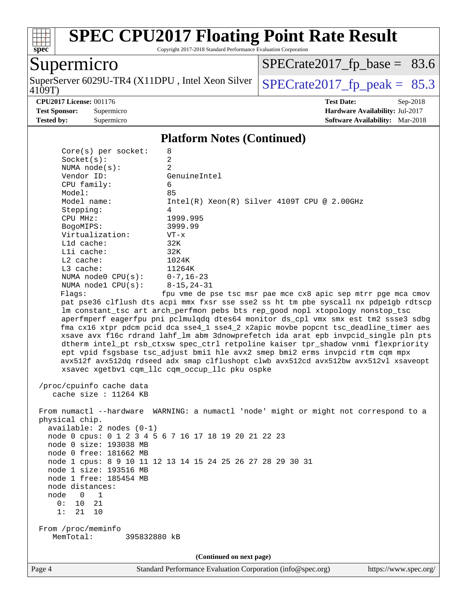

Copyright 2017-2018 Standard Performance Evaluation Corporation

## Supermicro

4109T) SuperServer 6029U-TR4 (X11DPU, Intel Xeon Silver  $\sqrt{\text{SPECrate2017\_fp\_peak}} = 85.3$ 

 $SPECrate2017_fp\_base = 83.6$ 

**[CPU2017 License:](http://www.spec.org/auto/cpu2017/Docs/result-fields.html#CPU2017License)** 001176 **[Test Date:](http://www.spec.org/auto/cpu2017/Docs/result-fields.html#TestDate)** Sep-2018 **[Test Sponsor:](http://www.spec.org/auto/cpu2017/Docs/result-fields.html#TestSponsor)** Supermicro **[Hardware Availability:](http://www.spec.org/auto/cpu2017/Docs/result-fields.html#HardwareAvailability)** Jul-2017 **[Tested by:](http://www.spec.org/auto/cpu2017/Docs/result-fields.html#Testedby)** Supermicro **Supermicro [Software Availability:](http://www.spec.org/auto/cpu2017/Docs/result-fields.html#SoftwareAvailability)** Mar-2018

#### **[Platform Notes \(Continued\)](http://www.spec.org/auto/cpu2017/Docs/result-fields.html#PlatformNotes)**

| Core(s) per socket:                                                                                                                                                                                                           | 8                                                                                                                                                                                                                                                                                                                                                                                                                                                                                                                                                                                                                                                                                                                                                         |  |  |  |
|-------------------------------------------------------------------------------------------------------------------------------------------------------------------------------------------------------------------------------|-----------------------------------------------------------------------------------------------------------------------------------------------------------------------------------------------------------------------------------------------------------------------------------------------------------------------------------------------------------------------------------------------------------------------------------------------------------------------------------------------------------------------------------------------------------------------------------------------------------------------------------------------------------------------------------------------------------------------------------------------------------|--|--|--|
| Socket(s):                                                                                                                                                                                                                    | 2                                                                                                                                                                                                                                                                                                                                                                                                                                                                                                                                                                                                                                                                                                                                                         |  |  |  |
| NUMA $node(s)$ :                                                                                                                                                                                                              | $\overline{a}$                                                                                                                                                                                                                                                                                                                                                                                                                                                                                                                                                                                                                                                                                                                                            |  |  |  |
| Vendor ID:                                                                                                                                                                                                                    | GenuineIntel                                                                                                                                                                                                                                                                                                                                                                                                                                                                                                                                                                                                                                                                                                                                              |  |  |  |
| CPU family:                                                                                                                                                                                                                   | 6                                                                                                                                                                                                                                                                                                                                                                                                                                                                                                                                                                                                                                                                                                                                                         |  |  |  |
| Model:                                                                                                                                                                                                                        | 85                                                                                                                                                                                                                                                                                                                                                                                                                                                                                                                                                                                                                                                                                                                                                        |  |  |  |
| Model name:                                                                                                                                                                                                                   | $Intel(R) Xeon(R) Silver 4109T CPU @ 2.00GHz$                                                                                                                                                                                                                                                                                                                                                                                                                                                                                                                                                                                                                                                                                                             |  |  |  |
| Stepping:                                                                                                                                                                                                                     | 4                                                                                                                                                                                                                                                                                                                                                                                                                                                                                                                                                                                                                                                                                                                                                         |  |  |  |
| CPU MHz:                                                                                                                                                                                                                      | 1999.995                                                                                                                                                                                                                                                                                                                                                                                                                                                                                                                                                                                                                                                                                                                                                  |  |  |  |
| BogoMIPS:<br>Virtualization:                                                                                                                                                                                                  | 3999.99                                                                                                                                                                                                                                                                                                                                                                                                                                                                                                                                                                                                                                                                                                                                                   |  |  |  |
| L1d cache:                                                                                                                                                                                                                    | $VT - x$<br>32K                                                                                                                                                                                                                                                                                                                                                                                                                                                                                                                                                                                                                                                                                                                                           |  |  |  |
| Lli cache:                                                                                                                                                                                                                    | 32K                                                                                                                                                                                                                                                                                                                                                                                                                                                                                                                                                                                                                                                                                                                                                       |  |  |  |
| L2 cache:                                                                                                                                                                                                                     | 1024K                                                                                                                                                                                                                                                                                                                                                                                                                                                                                                                                                                                                                                                                                                                                                     |  |  |  |
| $L3$ cache:                                                                                                                                                                                                                   | 11264K                                                                                                                                                                                                                                                                                                                                                                                                                                                                                                                                                                                                                                                                                                                                                    |  |  |  |
| NUMA $node0$ $CPU(s):$                                                                                                                                                                                                        | $0 - 7$ , 16-23                                                                                                                                                                                                                                                                                                                                                                                                                                                                                                                                                                                                                                                                                                                                           |  |  |  |
| NUMA nodel $CPU(s):$                                                                                                                                                                                                          | $8 - 15, 24 - 31$                                                                                                                                                                                                                                                                                                                                                                                                                                                                                                                                                                                                                                                                                                                                         |  |  |  |
| Flags:                                                                                                                                                                                                                        | fpu vme de pse tsc msr pae mce cx8 apic sep mtrr pge mca cmov                                                                                                                                                                                                                                                                                                                                                                                                                                                                                                                                                                                                                                                                                             |  |  |  |
|                                                                                                                                                                                                                               | pat pse36 clflush dts acpi mmx fxsr sse sse2 ss ht tm pbe syscall nx pdpelgb rdtscp<br>lm constant_tsc art arch_perfmon pebs bts rep_good nopl xtopology nonstop_tsc<br>aperfmperf eagerfpu pni pclmulqdq dtes64 monitor ds_cpl vmx smx est tm2 ssse3 sdbg<br>fma cx16 xtpr pdcm pcid dca sse4_1 sse4_2 x2apic movbe popcnt tsc_deadline_timer aes<br>xsave avx f16c rdrand lahf lm abm 3dnowprefetch ida arat epb invpcid single pln pts<br>dtherm intel_pt rsb_ctxsw spec_ctrl retpoline kaiser tpr_shadow vnmi flexpriority<br>ept vpid fsgsbase tsc_adjust bmil hle avx2 smep bmi2 erms invpcid rtm cqm mpx<br>avx512f avx512dq rdseed adx smap clflushopt clwb avx512cd avx512bw avx512vl xsaveopt<br>xsavec xgetbvl cqm_llc cqm_occup_llc pku ospke |  |  |  |
| /proc/cpuinfo cache data<br>cache size : 11264 KB                                                                                                                                                                             |                                                                                                                                                                                                                                                                                                                                                                                                                                                                                                                                                                                                                                                                                                                                                           |  |  |  |
| physical chip.<br>$available: 2 nodes (0-1)$<br>node 0 size: 193038 MB<br>node 0 free: 181662 MB<br>node 1 size: 193516 MB<br>node 1 free: 185454 MB<br>node distances:<br>node<br>1<br>0<br>21<br>0:<br>10<br>21<br>10<br>1: | From numactl --hardware WARNING: a numactl 'node' might or might not correspond to a<br>node 0 cpus: 0 1 2 3 4 5 6 7 16 17 18 19 20 21 22 23<br>node 1 cpus: 8 9 10 11 12 13 14 15 24 25 26 27 28 29 30 31                                                                                                                                                                                                                                                                                                                                                                                                                                                                                                                                                |  |  |  |
| From /proc/meminfo<br>MemTotal:<br>395832880 kB                                                                                                                                                                               |                                                                                                                                                                                                                                                                                                                                                                                                                                                                                                                                                                                                                                                                                                                                                           |  |  |  |
| (Continued on next page)                                                                                                                                                                                                      |                                                                                                                                                                                                                                                                                                                                                                                                                                                                                                                                                                                                                                                                                                                                                           |  |  |  |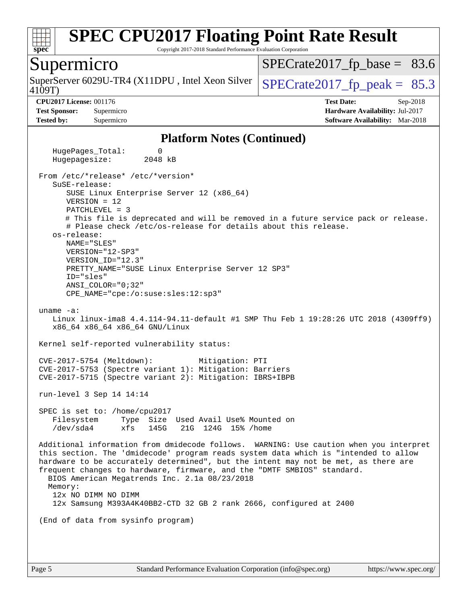

Copyright 2017-2018 Standard Performance Evaluation Corporation

#### Supermicro

SuperServer 6029U-TR4 (X11DPU, Intel Xeon Silver  $\big|$  SPECrate 2017 fp peak = 85.3

 $SPECTate2017_fp\_base = 83.6$ 

4109T)

**[CPU2017 License:](http://www.spec.org/auto/cpu2017/Docs/result-fields.html#CPU2017License)** 001176 **[Test Date:](http://www.spec.org/auto/cpu2017/Docs/result-fields.html#TestDate)** Sep-2018 **[Test Sponsor:](http://www.spec.org/auto/cpu2017/Docs/result-fields.html#TestSponsor)** Supermicro **[Hardware Availability:](http://www.spec.org/auto/cpu2017/Docs/result-fields.html#HardwareAvailability)** Jul-2017 **[Tested by:](http://www.spec.org/auto/cpu2017/Docs/result-fields.html#Testedby)** Supermicro **[Software Availability:](http://www.spec.org/auto/cpu2017/Docs/result-fields.html#SoftwareAvailability)** Mar-2018

#### **[Platform Notes \(Continued\)](http://www.spec.org/auto/cpu2017/Docs/result-fields.html#PlatformNotes)**

HugePages Total: 0 Hugepagesize: 2048 kB From /etc/\*release\* /etc/\*version\* SuSE-release: SUSE Linux Enterprise Server 12 (x86\_64) VERSION = 12 PATCHLEVEL = 3 # This file is deprecated and will be removed in a future service pack or release. # Please check /etc/os-release for details about this release. os-release: NAME="SLES" VERSION="12-SP3" VERSION\_ID="12.3" PRETTY\_NAME="SUSE Linux Enterprise Server 12 SP3" ID="sles" ANSI\_COLOR="0;32" CPE\_NAME="cpe:/o:suse:sles:12:sp3" uname -a: Linux linux-ima8 4.4.114-94.11-default #1 SMP Thu Feb 1 19:28:26 UTC 2018 (4309ff9) x86\_64 x86\_64 x86\_64 GNU/Linux Kernel self-reported vulnerability status: CVE-2017-5754 (Meltdown): Mitigation: PTI CVE-2017-5753 (Spectre variant 1): Mitigation: Barriers CVE-2017-5715 (Spectre variant 2): Mitigation: IBRS+IBPB run-level 3 Sep 14 14:14 SPEC is set to: /home/cpu2017 Filesystem Type Size Used Avail Use% Mounted on /dev/sda4 xfs 145G 21G 124G 15% /home Additional information from dmidecode follows. WARNING: Use caution when you interpret this section. The 'dmidecode' program reads system data which is "intended to allow hardware to be accurately determined", but the intent may not be met, as there are frequent changes to hardware, firmware, and the "DMTF SMBIOS" standard. BIOS American Megatrends Inc. 2.1a 08/23/2018 Memory: 12x NO DIMM NO DIMM 12x Samsung M393A4K40BB2-CTD 32 GB 2 rank 2666, configured at 2400 (End of data from sysinfo program)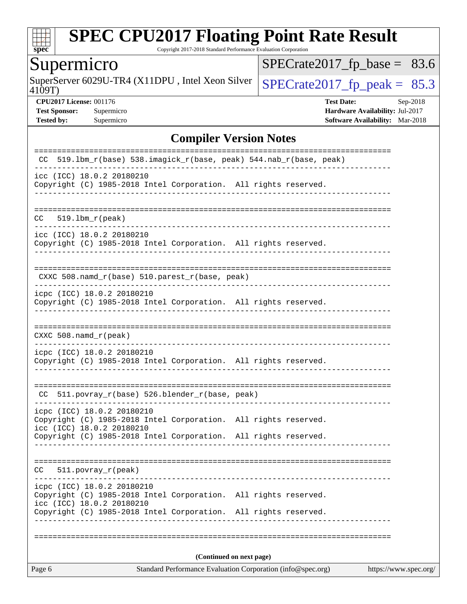

Copyright 2017-2018 Standard Performance Evaluation Corporation

## Supermicro

4109T) SuperServer 6029U-TR4 (X11DPU, Intel Xeon Silver  $\sqrt{\text{SPECrate2017\_fp\_peak}} = 85.3$ 

 $SPECrate2017_fp\_base = 83.6$ 

**[CPU2017 License:](http://www.spec.org/auto/cpu2017/Docs/result-fields.html#CPU2017License)** 001176 **[Test Date:](http://www.spec.org/auto/cpu2017/Docs/result-fields.html#TestDate)** Sep-2018 **[Test Sponsor:](http://www.spec.org/auto/cpu2017/Docs/result-fields.html#TestSponsor)** Supermicro **[Hardware Availability:](http://www.spec.org/auto/cpu2017/Docs/result-fields.html#HardwareAvailability)** Jul-2017 **[Tested by:](http://www.spec.org/auto/cpu2017/Docs/result-fields.html#Testedby)** Supermicro **Supermicro [Software Availability:](http://www.spec.org/auto/cpu2017/Docs/result-fields.html#SoftwareAvailability)** Mar-2018

#### **[Compiler Version Notes](http://www.spec.org/auto/cpu2017/Docs/result-fields.html#CompilerVersionNotes)**

| Page 6                                                                                                                     | Standard Performance Evaluation Corporation (info@spec.org) | https://www.spec.org/ |
|----------------------------------------------------------------------------------------------------------------------------|-------------------------------------------------------------|-----------------------|
|                                                                                                                            | (Continued on next page)                                    |                       |
|                                                                                                                            |                                                             |                       |
| Copyright (C) 1985-2018 Intel Corporation. All rights reserved.                                                            |                                                             |                       |
| icpc (ICC) 18.0.2 20180210<br>Copyright (C) 1985-2018 Intel Corporation. All rights reserved.<br>icc (ICC) 18.0.2 20180210 |                                                             |                       |
| 511.povray_r(peak)<br>CC.                                                                                                  |                                                             |                       |
| Copyright (C) 1985-2018 Intel Corporation. All rights reserved.                                                            |                                                             |                       |
| icpc (ICC) 18.0.2 20180210<br>Copyright (C) 1985-2018 Intel Corporation. All rights reserved.<br>icc (ICC) 18.0.2 20180210 |                                                             |                       |
| CC 511.povray_r(base) 526.blender_r(base, peak)                                                                            |                                                             |                       |
| icpc (ICC) 18.0.2 20180210<br>Copyright (C) 1985-2018 Intel Corporation. All rights reserved.                              |                                                             |                       |
| $CXXC 508.namd_r (peak)$                                                                                                   | __________________________________                          |                       |
| Copyright (C) 1985-2018 Intel Corporation. All rights reserved.                                                            |                                                             |                       |
| icpc (ICC) 18.0.2 20180210                                                                                                 |                                                             |                       |
| CXXC 508.namd_r(base) 510.parest_r(base, peak)                                                                             |                                                             |                       |
| icc (ICC) 18.0.2 20180210<br>Copyright (C) 1985-2018 Intel Corporation. All rights reserved.                               |                                                             |                       |
| $519.1bm_r(peak)$<br>CC.                                                                                                   |                                                             |                       |
| Copyright (C) 1985-2018 Intel Corporation. All rights reserved.                                                            |                                                             |                       |
| icc (ICC) 18.0.2 20180210                                                                                                  |                                                             |                       |
| 519.1bm_r(base) 538.imagick_r(base, peak) 544.nab_r(base, peak)<br>CC.                                                     |                                                             |                       |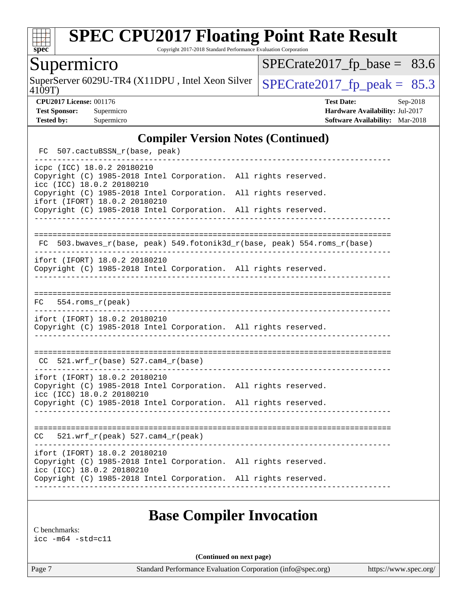

Copyright 2017-2018 Standard Performance Evaluation Corporation

## Supermicro

4109T) SuperServer 6029U-TR4 (X11DPU, Intel Xeon Silver  $\vert$  [SPECrate2017\\_fp\\_peak =](http://www.spec.org/auto/cpu2017/Docs/result-fields.html#SPECrate2017fppeak) 85.3

 $SPECrate2017_fp\_base = 83.6$ 

**[CPU2017 License:](http://www.spec.org/auto/cpu2017/Docs/result-fields.html#CPU2017License)** 001176 **[Test Date:](http://www.spec.org/auto/cpu2017/Docs/result-fields.html#TestDate)** Sep-2018 **[Test Sponsor:](http://www.spec.org/auto/cpu2017/Docs/result-fields.html#TestSponsor)** Supermicro **[Hardware Availability:](http://www.spec.org/auto/cpu2017/Docs/result-fields.html#HardwareAvailability)** Jul-2017 **[Tested by:](http://www.spec.org/auto/cpu2017/Docs/result-fields.html#Testedby)** Supermicro **Supermicro [Software Availability:](http://www.spec.org/auto/cpu2017/Docs/result-fields.html#SoftwareAvailability)** Mar-2018

#### **[Compiler Version Notes \(Continued\)](http://www.spec.org/auto/cpu2017/Docs/result-fields.html#CompilerVersionNotes)**

| FC 507.cactuBSSN_r(base, peak)                                                                                                                                                                                                                                                                    |                                                                          |  |
|---------------------------------------------------------------------------------------------------------------------------------------------------------------------------------------------------------------------------------------------------------------------------------------------------|--------------------------------------------------------------------------|--|
| icpc (ICC) 18.0.2 20180210<br>Copyright (C) 1985-2018 Intel Corporation. All rights reserved.<br>icc (ICC) 18.0.2 20180210<br>Copyright (C) 1985-2018 Intel Corporation. All rights reserved.<br>ifort (IFORT) 18.0.2 20180210<br>Copyright (C) 1985-2018 Intel Corporation. All rights reserved. |                                                                          |  |
|                                                                                                                                                                                                                                                                                                   | FC 503.bwaves_r(base, peak) 549.fotonik3d_r(base, peak) 554.roms_r(base) |  |
| ifort (IFORT) 18.0.2 20180210<br>Copyright (C) 1985-2018 Intel Corporation. All rights reserved.                                                                                                                                                                                                  |                                                                          |  |
| $FC$ 554.roms $r$ (peak)                                                                                                                                                                                                                                                                          |                                                                          |  |
| ifort (IFORT) 18.0.2 20180210<br>Copyright (C) 1985-2018 Intel Corporation. All rights reserved.                                                                                                                                                                                                  |                                                                          |  |
| $CC$ 521.wrf_r(base) 527.cam4_r(base)                                                                                                                                                                                                                                                             |                                                                          |  |
| ifort (IFORT) 18.0.2 20180210<br>Copyright (C) 1985-2018 Intel Corporation. All rights reserved.<br>icc (ICC) 18.0.2 20180210<br>Copyright (C) 1985-2018 Intel Corporation. All rights reserved.                                                                                                  |                                                                          |  |
| 521.wrf_r(peak) 527.cam4_r(peak)<br>CC                                                                                                                                                                                                                                                            |                                                                          |  |
| ifort (IFORT) 18.0.2 20180210<br>Copyright (C) 1985-2018 Intel Corporation. All rights reserved.<br>icc (ICC) 18.0.2 20180210<br>Copyright (C) 1985-2018 Intel Corporation. All rights reserved.                                                                                                  |                                                                          |  |

### **[Base Compiler Invocation](http://www.spec.org/auto/cpu2017/Docs/result-fields.html#BaseCompilerInvocation)**

[C benchmarks:](http://www.spec.org/auto/cpu2017/Docs/result-fields.html#Cbenchmarks) [icc -m64 -std=c11](http://www.spec.org/cpu2017/results/res2018q4/cpu2017-20181002-09042.flags.html#user_CCbase_intel_icc_64bit_c11_33ee0cdaae7deeeab2a9725423ba97205ce30f63b9926c2519791662299b76a0318f32ddfffdc46587804de3178b4f9328c46fa7c2b0cd779d7a61945c91cd35)

**(Continued on next page)**

Page 7 Standard Performance Evaluation Corporation [\(info@spec.org\)](mailto:info@spec.org) <https://www.spec.org/>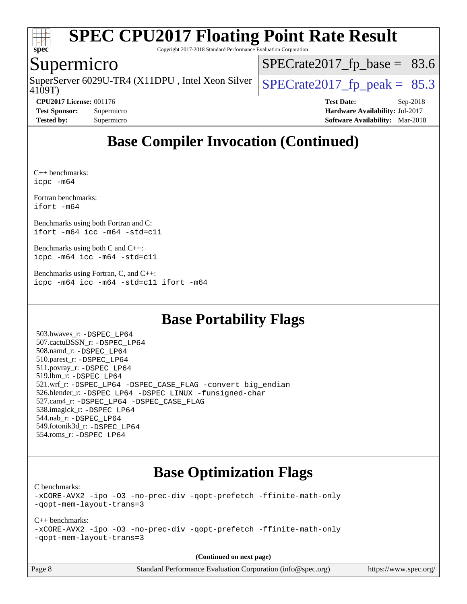

Copyright 2017-2018 Standard Performance Evaluation Corporation

#### Supermicro

SuperServer 6029U-TR4 (X11DPU, Intel Xeon Silver  $\big|$  [SPECrate2017\\_fp\\_peak =](http://www.spec.org/auto/cpu2017/Docs/result-fields.html#SPECrate2017fppeak) 85.3

 $SPECrate2017_fp\_base = 83.6$ 

4109T)

**[CPU2017 License:](http://www.spec.org/auto/cpu2017/Docs/result-fields.html#CPU2017License)** 001176 **[Test Date:](http://www.spec.org/auto/cpu2017/Docs/result-fields.html#TestDate)** Sep-2018 **[Test Sponsor:](http://www.spec.org/auto/cpu2017/Docs/result-fields.html#TestSponsor)** Supermicro **[Hardware Availability:](http://www.spec.org/auto/cpu2017/Docs/result-fields.html#HardwareAvailability)** Jul-2017 **[Tested by:](http://www.spec.org/auto/cpu2017/Docs/result-fields.html#Testedby)** Supermicro **[Software Availability:](http://www.spec.org/auto/cpu2017/Docs/result-fields.html#SoftwareAvailability)** Mar-2018

## **[Base Compiler Invocation \(Continued\)](http://www.spec.org/auto/cpu2017/Docs/result-fields.html#BaseCompilerInvocation)**

[C++ benchmarks](http://www.spec.org/auto/cpu2017/Docs/result-fields.html#CXXbenchmarks): [icpc -m64](http://www.spec.org/cpu2017/results/res2018q4/cpu2017-20181002-09042.flags.html#user_CXXbase_intel_icpc_64bit_4ecb2543ae3f1412ef961e0650ca070fec7b7afdcd6ed48761b84423119d1bf6bdf5cad15b44d48e7256388bc77273b966e5eb805aefd121eb22e9299b2ec9d9)

[Fortran benchmarks](http://www.spec.org/auto/cpu2017/Docs/result-fields.html#Fortranbenchmarks): [ifort -m64](http://www.spec.org/cpu2017/results/res2018q4/cpu2017-20181002-09042.flags.html#user_FCbase_intel_ifort_64bit_24f2bb282fbaeffd6157abe4f878425411749daecae9a33200eee2bee2fe76f3b89351d69a8130dd5949958ce389cf37ff59a95e7a40d588e8d3a57e0c3fd751)

[Benchmarks using both Fortran and C:](http://www.spec.org/auto/cpu2017/Docs/result-fields.html#BenchmarksusingbothFortranandC) [ifort -m64](http://www.spec.org/cpu2017/results/res2018q4/cpu2017-20181002-09042.flags.html#user_CC_FCbase_intel_ifort_64bit_24f2bb282fbaeffd6157abe4f878425411749daecae9a33200eee2bee2fe76f3b89351d69a8130dd5949958ce389cf37ff59a95e7a40d588e8d3a57e0c3fd751) [icc -m64 -std=c11](http://www.spec.org/cpu2017/results/res2018q4/cpu2017-20181002-09042.flags.html#user_CC_FCbase_intel_icc_64bit_c11_33ee0cdaae7deeeab2a9725423ba97205ce30f63b9926c2519791662299b76a0318f32ddfffdc46587804de3178b4f9328c46fa7c2b0cd779d7a61945c91cd35)

[Benchmarks using both C and C++](http://www.spec.org/auto/cpu2017/Docs/result-fields.html#BenchmarksusingbothCandCXX): [icpc -m64](http://www.spec.org/cpu2017/results/res2018q4/cpu2017-20181002-09042.flags.html#user_CC_CXXbase_intel_icpc_64bit_4ecb2543ae3f1412ef961e0650ca070fec7b7afdcd6ed48761b84423119d1bf6bdf5cad15b44d48e7256388bc77273b966e5eb805aefd121eb22e9299b2ec9d9) [icc -m64 -std=c11](http://www.spec.org/cpu2017/results/res2018q4/cpu2017-20181002-09042.flags.html#user_CC_CXXbase_intel_icc_64bit_c11_33ee0cdaae7deeeab2a9725423ba97205ce30f63b9926c2519791662299b76a0318f32ddfffdc46587804de3178b4f9328c46fa7c2b0cd779d7a61945c91cd35)

[Benchmarks using Fortran, C, and C++:](http://www.spec.org/auto/cpu2017/Docs/result-fields.html#BenchmarksusingFortranCandCXX) [icpc -m64](http://www.spec.org/cpu2017/results/res2018q4/cpu2017-20181002-09042.flags.html#user_CC_CXX_FCbase_intel_icpc_64bit_4ecb2543ae3f1412ef961e0650ca070fec7b7afdcd6ed48761b84423119d1bf6bdf5cad15b44d48e7256388bc77273b966e5eb805aefd121eb22e9299b2ec9d9) [icc -m64 -std=c11](http://www.spec.org/cpu2017/results/res2018q4/cpu2017-20181002-09042.flags.html#user_CC_CXX_FCbase_intel_icc_64bit_c11_33ee0cdaae7deeeab2a9725423ba97205ce30f63b9926c2519791662299b76a0318f32ddfffdc46587804de3178b4f9328c46fa7c2b0cd779d7a61945c91cd35) [ifort -m64](http://www.spec.org/cpu2017/results/res2018q4/cpu2017-20181002-09042.flags.html#user_CC_CXX_FCbase_intel_ifort_64bit_24f2bb282fbaeffd6157abe4f878425411749daecae9a33200eee2bee2fe76f3b89351d69a8130dd5949958ce389cf37ff59a95e7a40d588e8d3a57e0c3fd751)

## **[Base Portability Flags](http://www.spec.org/auto/cpu2017/Docs/result-fields.html#BasePortabilityFlags)**

 503.bwaves\_r: [-DSPEC\\_LP64](http://www.spec.org/cpu2017/results/res2018q4/cpu2017-20181002-09042.flags.html#suite_basePORTABILITY503_bwaves_r_DSPEC_LP64) 507.cactuBSSN\_r: [-DSPEC\\_LP64](http://www.spec.org/cpu2017/results/res2018q4/cpu2017-20181002-09042.flags.html#suite_basePORTABILITY507_cactuBSSN_r_DSPEC_LP64) 508.namd\_r: [-DSPEC\\_LP64](http://www.spec.org/cpu2017/results/res2018q4/cpu2017-20181002-09042.flags.html#suite_basePORTABILITY508_namd_r_DSPEC_LP64) 510.parest\_r: [-DSPEC\\_LP64](http://www.spec.org/cpu2017/results/res2018q4/cpu2017-20181002-09042.flags.html#suite_basePORTABILITY510_parest_r_DSPEC_LP64) 511.povray\_r: [-DSPEC\\_LP64](http://www.spec.org/cpu2017/results/res2018q4/cpu2017-20181002-09042.flags.html#suite_basePORTABILITY511_povray_r_DSPEC_LP64) 519.lbm\_r: [-DSPEC\\_LP64](http://www.spec.org/cpu2017/results/res2018q4/cpu2017-20181002-09042.flags.html#suite_basePORTABILITY519_lbm_r_DSPEC_LP64) 521.wrf\_r: [-DSPEC\\_LP64](http://www.spec.org/cpu2017/results/res2018q4/cpu2017-20181002-09042.flags.html#suite_basePORTABILITY521_wrf_r_DSPEC_LP64) [-DSPEC\\_CASE\\_FLAG](http://www.spec.org/cpu2017/results/res2018q4/cpu2017-20181002-09042.flags.html#b521.wrf_r_baseCPORTABILITY_DSPEC_CASE_FLAG) [-convert big\\_endian](http://www.spec.org/cpu2017/results/res2018q4/cpu2017-20181002-09042.flags.html#user_baseFPORTABILITY521_wrf_r_convert_big_endian_c3194028bc08c63ac5d04de18c48ce6d347e4e562e8892b8bdbdc0214820426deb8554edfa529a3fb25a586e65a3d812c835984020483e7e73212c4d31a38223) 526.blender\_r: [-DSPEC\\_LP64](http://www.spec.org/cpu2017/results/res2018q4/cpu2017-20181002-09042.flags.html#suite_basePORTABILITY526_blender_r_DSPEC_LP64) [-DSPEC\\_LINUX](http://www.spec.org/cpu2017/results/res2018q4/cpu2017-20181002-09042.flags.html#b526.blender_r_baseCPORTABILITY_DSPEC_LINUX) [-funsigned-char](http://www.spec.org/cpu2017/results/res2018q4/cpu2017-20181002-09042.flags.html#user_baseCPORTABILITY526_blender_r_force_uchar_40c60f00ab013830e2dd6774aeded3ff59883ba5a1fc5fc14077f794d777847726e2a5858cbc7672e36e1b067e7e5c1d9a74f7176df07886a243d7cc18edfe67) 527.cam4\_r: [-DSPEC\\_LP64](http://www.spec.org/cpu2017/results/res2018q4/cpu2017-20181002-09042.flags.html#suite_basePORTABILITY527_cam4_r_DSPEC_LP64) [-DSPEC\\_CASE\\_FLAG](http://www.spec.org/cpu2017/results/res2018q4/cpu2017-20181002-09042.flags.html#b527.cam4_r_baseCPORTABILITY_DSPEC_CASE_FLAG) 538.imagick\_r: [-DSPEC\\_LP64](http://www.spec.org/cpu2017/results/res2018q4/cpu2017-20181002-09042.flags.html#suite_basePORTABILITY538_imagick_r_DSPEC_LP64) 544.nab\_r: [-DSPEC\\_LP64](http://www.spec.org/cpu2017/results/res2018q4/cpu2017-20181002-09042.flags.html#suite_basePORTABILITY544_nab_r_DSPEC_LP64) 549.fotonik3d\_r: [-DSPEC\\_LP64](http://www.spec.org/cpu2017/results/res2018q4/cpu2017-20181002-09042.flags.html#suite_basePORTABILITY549_fotonik3d_r_DSPEC_LP64) 554.roms\_r: [-DSPEC\\_LP64](http://www.spec.org/cpu2017/results/res2018q4/cpu2017-20181002-09042.flags.html#suite_basePORTABILITY554_roms_r_DSPEC_LP64)

## **[Base Optimization Flags](http://www.spec.org/auto/cpu2017/Docs/result-fields.html#BaseOptimizationFlags)**

[C benchmarks](http://www.spec.org/auto/cpu2017/Docs/result-fields.html#Cbenchmarks):

[-xCORE-AVX2](http://www.spec.org/cpu2017/results/res2018q4/cpu2017-20181002-09042.flags.html#user_CCbase_f-xCORE-AVX2) [-ipo](http://www.spec.org/cpu2017/results/res2018q4/cpu2017-20181002-09042.flags.html#user_CCbase_f-ipo) [-O3](http://www.spec.org/cpu2017/results/res2018q4/cpu2017-20181002-09042.flags.html#user_CCbase_f-O3) [-no-prec-div](http://www.spec.org/cpu2017/results/res2018q4/cpu2017-20181002-09042.flags.html#user_CCbase_f-no-prec-div) [-qopt-prefetch](http://www.spec.org/cpu2017/results/res2018q4/cpu2017-20181002-09042.flags.html#user_CCbase_f-qopt-prefetch) [-ffinite-math-only](http://www.spec.org/cpu2017/results/res2018q4/cpu2017-20181002-09042.flags.html#user_CCbase_f_finite_math_only_cb91587bd2077682c4b38af759c288ed7c732db004271a9512da14a4f8007909a5f1427ecbf1a0fb78ff2a814402c6114ac565ca162485bbcae155b5e4258871) [-qopt-mem-layout-trans=3](http://www.spec.org/cpu2017/results/res2018q4/cpu2017-20181002-09042.flags.html#user_CCbase_f-qopt-mem-layout-trans_de80db37974c74b1f0e20d883f0b675c88c3b01e9d123adea9b28688d64333345fb62bc4a798493513fdb68f60282f9a726aa07f478b2f7113531aecce732043)

#### [C++ benchmarks:](http://www.spec.org/auto/cpu2017/Docs/result-fields.html#CXXbenchmarks)

[-xCORE-AVX2](http://www.spec.org/cpu2017/results/res2018q4/cpu2017-20181002-09042.flags.html#user_CXXbase_f-xCORE-AVX2) [-ipo](http://www.spec.org/cpu2017/results/res2018q4/cpu2017-20181002-09042.flags.html#user_CXXbase_f-ipo) [-O3](http://www.spec.org/cpu2017/results/res2018q4/cpu2017-20181002-09042.flags.html#user_CXXbase_f-O3) [-no-prec-div](http://www.spec.org/cpu2017/results/res2018q4/cpu2017-20181002-09042.flags.html#user_CXXbase_f-no-prec-div) [-qopt-prefetch](http://www.spec.org/cpu2017/results/res2018q4/cpu2017-20181002-09042.flags.html#user_CXXbase_f-qopt-prefetch) [-ffinite-math-only](http://www.spec.org/cpu2017/results/res2018q4/cpu2017-20181002-09042.flags.html#user_CXXbase_f_finite_math_only_cb91587bd2077682c4b38af759c288ed7c732db004271a9512da14a4f8007909a5f1427ecbf1a0fb78ff2a814402c6114ac565ca162485bbcae155b5e4258871) [-qopt-mem-layout-trans=3](http://www.spec.org/cpu2017/results/res2018q4/cpu2017-20181002-09042.flags.html#user_CXXbase_f-qopt-mem-layout-trans_de80db37974c74b1f0e20d883f0b675c88c3b01e9d123adea9b28688d64333345fb62bc4a798493513fdb68f60282f9a726aa07f478b2f7113531aecce732043)

**(Continued on next page)**

Page 8 Standard Performance Evaluation Corporation [\(info@spec.org\)](mailto:info@spec.org) <https://www.spec.org/>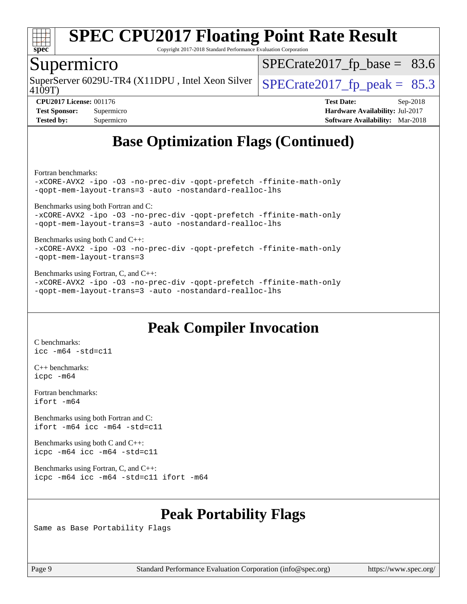

Copyright 2017-2018 Standard Performance Evaluation Corporation

#### Supermicro

4109T) SuperServer 6029U-TR4 (X11DPU, Intel Xeon Silver  $\big|$  SPECrate 2017 fp peak = 85.3

 $SPECTate2017_fp\_base = 83.6$ 

**[CPU2017 License:](http://www.spec.org/auto/cpu2017/Docs/result-fields.html#CPU2017License)** 001176 **[Test Date:](http://www.spec.org/auto/cpu2017/Docs/result-fields.html#TestDate)** Sep-2018 **[Test Sponsor:](http://www.spec.org/auto/cpu2017/Docs/result-fields.html#TestSponsor)** Supermicro **[Hardware Availability:](http://www.spec.org/auto/cpu2017/Docs/result-fields.html#HardwareAvailability)** Jul-2017 **[Tested by:](http://www.spec.org/auto/cpu2017/Docs/result-fields.html#Testedby)** Supermicro **[Software Availability:](http://www.spec.org/auto/cpu2017/Docs/result-fields.html#SoftwareAvailability)** Mar-2018

## **[Base Optimization Flags \(Continued\)](http://www.spec.org/auto/cpu2017/Docs/result-fields.html#BaseOptimizationFlags)**

[Fortran benchmarks](http://www.spec.org/auto/cpu2017/Docs/result-fields.html#Fortranbenchmarks):

[-xCORE-AVX2](http://www.spec.org/cpu2017/results/res2018q4/cpu2017-20181002-09042.flags.html#user_FCbase_f-xCORE-AVX2) [-ipo](http://www.spec.org/cpu2017/results/res2018q4/cpu2017-20181002-09042.flags.html#user_FCbase_f-ipo) [-O3](http://www.spec.org/cpu2017/results/res2018q4/cpu2017-20181002-09042.flags.html#user_FCbase_f-O3) [-no-prec-div](http://www.spec.org/cpu2017/results/res2018q4/cpu2017-20181002-09042.flags.html#user_FCbase_f-no-prec-div) [-qopt-prefetch](http://www.spec.org/cpu2017/results/res2018q4/cpu2017-20181002-09042.flags.html#user_FCbase_f-qopt-prefetch) [-ffinite-math-only](http://www.spec.org/cpu2017/results/res2018q4/cpu2017-20181002-09042.flags.html#user_FCbase_f_finite_math_only_cb91587bd2077682c4b38af759c288ed7c732db004271a9512da14a4f8007909a5f1427ecbf1a0fb78ff2a814402c6114ac565ca162485bbcae155b5e4258871) [-qopt-mem-layout-trans=3](http://www.spec.org/cpu2017/results/res2018q4/cpu2017-20181002-09042.flags.html#user_FCbase_f-qopt-mem-layout-trans_de80db37974c74b1f0e20d883f0b675c88c3b01e9d123adea9b28688d64333345fb62bc4a798493513fdb68f60282f9a726aa07f478b2f7113531aecce732043) [-auto](http://www.spec.org/cpu2017/results/res2018q4/cpu2017-20181002-09042.flags.html#user_FCbase_f-auto) [-nostandard-realloc-lhs](http://www.spec.org/cpu2017/results/res2018q4/cpu2017-20181002-09042.flags.html#user_FCbase_f_2003_std_realloc_82b4557e90729c0f113870c07e44d33d6f5a304b4f63d4c15d2d0f1fab99f5daaed73bdb9275d9ae411527f28b936061aa8b9c8f2d63842963b95c9dd6426b8a)

[Benchmarks using both Fortran and C](http://www.spec.org/auto/cpu2017/Docs/result-fields.html#BenchmarksusingbothFortranandC):

[-xCORE-AVX2](http://www.spec.org/cpu2017/results/res2018q4/cpu2017-20181002-09042.flags.html#user_CC_FCbase_f-xCORE-AVX2) [-ipo](http://www.spec.org/cpu2017/results/res2018q4/cpu2017-20181002-09042.flags.html#user_CC_FCbase_f-ipo) [-O3](http://www.spec.org/cpu2017/results/res2018q4/cpu2017-20181002-09042.flags.html#user_CC_FCbase_f-O3) [-no-prec-div](http://www.spec.org/cpu2017/results/res2018q4/cpu2017-20181002-09042.flags.html#user_CC_FCbase_f-no-prec-div) [-qopt-prefetch](http://www.spec.org/cpu2017/results/res2018q4/cpu2017-20181002-09042.flags.html#user_CC_FCbase_f-qopt-prefetch) [-ffinite-math-only](http://www.spec.org/cpu2017/results/res2018q4/cpu2017-20181002-09042.flags.html#user_CC_FCbase_f_finite_math_only_cb91587bd2077682c4b38af759c288ed7c732db004271a9512da14a4f8007909a5f1427ecbf1a0fb78ff2a814402c6114ac565ca162485bbcae155b5e4258871) [-qopt-mem-layout-trans=3](http://www.spec.org/cpu2017/results/res2018q4/cpu2017-20181002-09042.flags.html#user_CC_FCbase_f-qopt-mem-layout-trans_de80db37974c74b1f0e20d883f0b675c88c3b01e9d123adea9b28688d64333345fb62bc4a798493513fdb68f60282f9a726aa07f478b2f7113531aecce732043) [-auto](http://www.spec.org/cpu2017/results/res2018q4/cpu2017-20181002-09042.flags.html#user_CC_FCbase_f-auto) [-nostandard-realloc-lhs](http://www.spec.org/cpu2017/results/res2018q4/cpu2017-20181002-09042.flags.html#user_CC_FCbase_f_2003_std_realloc_82b4557e90729c0f113870c07e44d33d6f5a304b4f63d4c15d2d0f1fab99f5daaed73bdb9275d9ae411527f28b936061aa8b9c8f2d63842963b95c9dd6426b8a)

[Benchmarks using both C and C++](http://www.spec.org/auto/cpu2017/Docs/result-fields.html#BenchmarksusingbothCandCXX): [-xCORE-AVX2](http://www.spec.org/cpu2017/results/res2018q4/cpu2017-20181002-09042.flags.html#user_CC_CXXbase_f-xCORE-AVX2) [-ipo](http://www.spec.org/cpu2017/results/res2018q4/cpu2017-20181002-09042.flags.html#user_CC_CXXbase_f-ipo) [-O3](http://www.spec.org/cpu2017/results/res2018q4/cpu2017-20181002-09042.flags.html#user_CC_CXXbase_f-O3) [-no-prec-div](http://www.spec.org/cpu2017/results/res2018q4/cpu2017-20181002-09042.flags.html#user_CC_CXXbase_f-no-prec-div) [-qopt-prefetch](http://www.spec.org/cpu2017/results/res2018q4/cpu2017-20181002-09042.flags.html#user_CC_CXXbase_f-qopt-prefetch) [-ffinite-math-only](http://www.spec.org/cpu2017/results/res2018q4/cpu2017-20181002-09042.flags.html#user_CC_CXXbase_f_finite_math_only_cb91587bd2077682c4b38af759c288ed7c732db004271a9512da14a4f8007909a5f1427ecbf1a0fb78ff2a814402c6114ac565ca162485bbcae155b5e4258871) [-qopt-mem-layout-trans=3](http://www.spec.org/cpu2017/results/res2018q4/cpu2017-20181002-09042.flags.html#user_CC_CXXbase_f-qopt-mem-layout-trans_de80db37974c74b1f0e20d883f0b675c88c3b01e9d123adea9b28688d64333345fb62bc4a798493513fdb68f60282f9a726aa07f478b2f7113531aecce732043)

[Benchmarks using Fortran, C, and C++:](http://www.spec.org/auto/cpu2017/Docs/result-fields.html#BenchmarksusingFortranCandCXX) [-xCORE-AVX2](http://www.spec.org/cpu2017/results/res2018q4/cpu2017-20181002-09042.flags.html#user_CC_CXX_FCbase_f-xCORE-AVX2) [-ipo](http://www.spec.org/cpu2017/results/res2018q4/cpu2017-20181002-09042.flags.html#user_CC_CXX_FCbase_f-ipo) [-O3](http://www.spec.org/cpu2017/results/res2018q4/cpu2017-20181002-09042.flags.html#user_CC_CXX_FCbase_f-O3) [-no-prec-div](http://www.spec.org/cpu2017/results/res2018q4/cpu2017-20181002-09042.flags.html#user_CC_CXX_FCbase_f-no-prec-div) [-qopt-prefetch](http://www.spec.org/cpu2017/results/res2018q4/cpu2017-20181002-09042.flags.html#user_CC_CXX_FCbase_f-qopt-prefetch) [-ffinite-math-only](http://www.spec.org/cpu2017/results/res2018q4/cpu2017-20181002-09042.flags.html#user_CC_CXX_FCbase_f_finite_math_only_cb91587bd2077682c4b38af759c288ed7c732db004271a9512da14a4f8007909a5f1427ecbf1a0fb78ff2a814402c6114ac565ca162485bbcae155b5e4258871) [-qopt-mem-layout-trans=3](http://www.spec.org/cpu2017/results/res2018q4/cpu2017-20181002-09042.flags.html#user_CC_CXX_FCbase_f-qopt-mem-layout-trans_de80db37974c74b1f0e20d883f0b675c88c3b01e9d123adea9b28688d64333345fb62bc4a798493513fdb68f60282f9a726aa07f478b2f7113531aecce732043) [-auto](http://www.spec.org/cpu2017/results/res2018q4/cpu2017-20181002-09042.flags.html#user_CC_CXX_FCbase_f-auto) [-nostandard-realloc-lhs](http://www.spec.org/cpu2017/results/res2018q4/cpu2017-20181002-09042.flags.html#user_CC_CXX_FCbase_f_2003_std_realloc_82b4557e90729c0f113870c07e44d33d6f5a304b4f63d4c15d2d0f1fab99f5daaed73bdb9275d9ae411527f28b936061aa8b9c8f2d63842963b95c9dd6426b8a)

## **[Peak Compiler Invocation](http://www.spec.org/auto/cpu2017/Docs/result-fields.html#PeakCompilerInvocation)**

[C benchmarks](http://www.spec.org/auto/cpu2017/Docs/result-fields.html#Cbenchmarks): [icc -m64 -std=c11](http://www.spec.org/cpu2017/results/res2018q4/cpu2017-20181002-09042.flags.html#user_CCpeak_intel_icc_64bit_c11_33ee0cdaae7deeeab2a9725423ba97205ce30f63b9926c2519791662299b76a0318f32ddfffdc46587804de3178b4f9328c46fa7c2b0cd779d7a61945c91cd35)

[C++ benchmarks:](http://www.spec.org/auto/cpu2017/Docs/result-fields.html#CXXbenchmarks) [icpc -m64](http://www.spec.org/cpu2017/results/res2018q4/cpu2017-20181002-09042.flags.html#user_CXXpeak_intel_icpc_64bit_4ecb2543ae3f1412ef961e0650ca070fec7b7afdcd6ed48761b84423119d1bf6bdf5cad15b44d48e7256388bc77273b966e5eb805aefd121eb22e9299b2ec9d9)

[Fortran benchmarks](http://www.spec.org/auto/cpu2017/Docs/result-fields.html#Fortranbenchmarks): [ifort -m64](http://www.spec.org/cpu2017/results/res2018q4/cpu2017-20181002-09042.flags.html#user_FCpeak_intel_ifort_64bit_24f2bb282fbaeffd6157abe4f878425411749daecae9a33200eee2bee2fe76f3b89351d69a8130dd5949958ce389cf37ff59a95e7a40d588e8d3a57e0c3fd751)

[Benchmarks using both Fortran and C](http://www.spec.org/auto/cpu2017/Docs/result-fields.html#BenchmarksusingbothFortranandC): [ifort -m64](http://www.spec.org/cpu2017/results/res2018q4/cpu2017-20181002-09042.flags.html#user_CC_FCpeak_intel_ifort_64bit_24f2bb282fbaeffd6157abe4f878425411749daecae9a33200eee2bee2fe76f3b89351d69a8130dd5949958ce389cf37ff59a95e7a40d588e8d3a57e0c3fd751) [icc -m64 -std=c11](http://www.spec.org/cpu2017/results/res2018q4/cpu2017-20181002-09042.flags.html#user_CC_FCpeak_intel_icc_64bit_c11_33ee0cdaae7deeeab2a9725423ba97205ce30f63b9926c2519791662299b76a0318f32ddfffdc46587804de3178b4f9328c46fa7c2b0cd779d7a61945c91cd35)

[Benchmarks using both C and C++](http://www.spec.org/auto/cpu2017/Docs/result-fields.html#BenchmarksusingbothCandCXX): [icpc -m64](http://www.spec.org/cpu2017/results/res2018q4/cpu2017-20181002-09042.flags.html#user_CC_CXXpeak_intel_icpc_64bit_4ecb2543ae3f1412ef961e0650ca070fec7b7afdcd6ed48761b84423119d1bf6bdf5cad15b44d48e7256388bc77273b966e5eb805aefd121eb22e9299b2ec9d9) [icc -m64 -std=c11](http://www.spec.org/cpu2017/results/res2018q4/cpu2017-20181002-09042.flags.html#user_CC_CXXpeak_intel_icc_64bit_c11_33ee0cdaae7deeeab2a9725423ba97205ce30f63b9926c2519791662299b76a0318f32ddfffdc46587804de3178b4f9328c46fa7c2b0cd779d7a61945c91cd35)

[Benchmarks using Fortran, C, and C++:](http://www.spec.org/auto/cpu2017/Docs/result-fields.html#BenchmarksusingFortranCandCXX) [icpc -m64](http://www.spec.org/cpu2017/results/res2018q4/cpu2017-20181002-09042.flags.html#user_CC_CXX_FCpeak_intel_icpc_64bit_4ecb2543ae3f1412ef961e0650ca070fec7b7afdcd6ed48761b84423119d1bf6bdf5cad15b44d48e7256388bc77273b966e5eb805aefd121eb22e9299b2ec9d9) [icc -m64 -std=c11](http://www.spec.org/cpu2017/results/res2018q4/cpu2017-20181002-09042.flags.html#user_CC_CXX_FCpeak_intel_icc_64bit_c11_33ee0cdaae7deeeab2a9725423ba97205ce30f63b9926c2519791662299b76a0318f32ddfffdc46587804de3178b4f9328c46fa7c2b0cd779d7a61945c91cd35) [ifort -m64](http://www.spec.org/cpu2017/results/res2018q4/cpu2017-20181002-09042.flags.html#user_CC_CXX_FCpeak_intel_ifort_64bit_24f2bb282fbaeffd6157abe4f878425411749daecae9a33200eee2bee2fe76f3b89351d69a8130dd5949958ce389cf37ff59a95e7a40d588e8d3a57e0c3fd751)

## **[Peak Portability Flags](http://www.spec.org/auto/cpu2017/Docs/result-fields.html#PeakPortabilityFlags)**

Same as Base Portability Flags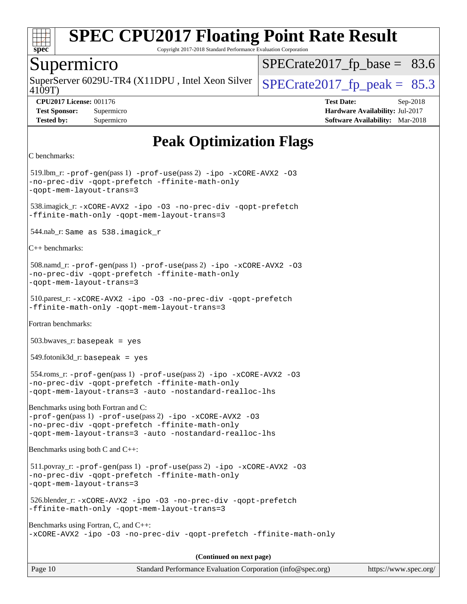

Copyright 2017-2018 Standard Performance Evaluation Corporation

#### Supermicro

4109T) SuperServer 6029U-TR4 (X11DPU, Intel Xeon Silver  $\big|$  SPECrate 2017 fp peak = 85.3

 $SPECTate2017_fp\_base = 83.6$ 

**[CPU2017 License:](http://www.spec.org/auto/cpu2017/Docs/result-fields.html#CPU2017License)** 001176 **[Test Date:](http://www.spec.org/auto/cpu2017/Docs/result-fields.html#TestDate)** Sep-2018 **[Test Sponsor:](http://www.spec.org/auto/cpu2017/Docs/result-fields.html#TestSponsor)** Supermicro **[Hardware Availability:](http://www.spec.org/auto/cpu2017/Docs/result-fields.html#HardwareAvailability)** Jul-2017 **[Tested by:](http://www.spec.org/auto/cpu2017/Docs/result-fields.html#Testedby)** Supermicro **[Software Availability:](http://www.spec.org/auto/cpu2017/Docs/result-fields.html#SoftwareAvailability)** Mar-2018

## **[Peak Optimization Flags](http://www.spec.org/auto/cpu2017/Docs/result-fields.html#PeakOptimizationFlags)**

```
C benchmarks:
```
519.lbm\_r:  $-prof-qen(pass 1) -prof-use(pass 2) -ipo -xCORE-AVX2 -O3$  $-prof-qen(pass 1) -prof-use(pass 2) -ipo -xCORE-AVX2 -O3$  $-prof-qen(pass 1) -prof-use(pass 2) -ipo -xCORE-AVX2 -O3$  $-prof-qen(pass 1) -prof-use(pass 2) -ipo -xCORE-AVX2 -O3$  $-prof-qen(pass 1) -prof-use(pass 2) -ipo -xCORE-AVX2 -O3$  $-prof-qen(pass 1) -prof-use(pass 2) -ipo -xCORE-AVX2 -O3$  $-prof-qen(pass 1) -prof-use(pass 2) -ipo -xCORE-AVX2 -O3$  $-prof-qen(pass 1) -prof-use(pass 2) -ipo -xCORE-AVX2 -O3$ [-no-prec-div](http://www.spec.org/cpu2017/results/res2018q4/cpu2017-20181002-09042.flags.html#user_peakPASS1_COPTIMIZEPASS2_COPTIMIZE519_lbm_r_f-no-prec-div) [-qopt-prefetch](http://www.spec.org/cpu2017/results/res2018q4/cpu2017-20181002-09042.flags.html#user_peakPASS1_COPTIMIZEPASS2_COPTIMIZE519_lbm_r_f-qopt-prefetch) [-ffinite-math-only](http://www.spec.org/cpu2017/results/res2018q4/cpu2017-20181002-09042.flags.html#user_peakPASS1_COPTIMIZEPASS2_COPTIMIZE519_lbm_r_f_finite_math_only_cb91587bd2077682c4b38af759c288ed7c732db004271a9512da14a4f8007909a5f1427ecbf1a0fb78ff2a814402c6114ac565ca162485bbcae155b5e4258871) [-qopt-mem-layout-trans=3](http://www.spec.org/cpu2017/results/res2018q4/cpu2017-20181002-09042.flags.html#user_peakPASS1_COPTIMIZEPASS2_COPTIMIZE519_lbm_r_f-qopt-mem-layout-trans_de80db37974c74b1f0e20d883f0b675c88c3b01e9d123adea9b28688d64333345fb62bc4a798493513fdb68f60282f9a726aa07f478b2f7113531aecce732043) 538.imagick\_r: [-xCORE-AVX2](http://www.spec.org/cpu2017/results/res2018q4/cpu2017-20181002-09042.flags.html#user_peakCOPTIMIZE538_imagick_r_f-xCORE-AVX2) [-ipo](http://www.spec.org/cpu2017/results/res2018q4/cpu2017-20181002-09042.flags.html#user_peakCOPTIMIZE538_imagick_r_f-ipo) [-O3](http://www.spec.org/cpu2017/results/res2018q4/cpu2017-20181002-09042.flags.html#user_peakCOPTIMIZE538_imagick_r_f-O3) [-no-prec-div](http://www.spec.org/cpu2017/results/res2018q4/cpu2017-20181002-09042.flags.html#user_peakCOPTIMIZE538_imagick_r_f-no-prec-div) [-qopt-prefetch](http://www.spec.org/cpu2017/results/res2018q4/cpu2017-20181002-09042.flags.html#user_peakCOPTIMIZE538_imagick_r_f-qopt-prefetch) [-ffinite-math-only](http://www.spec.org/cpu2017/results/res2018q4/cpu2017-20181002-09042.flags.html#user_peakCOPTIMIZE538_imagick_r_f_finite_math_only_cb91587bd2077682c4b38af759c288ed7c732db004271a9512da14a4f8007909a5f1427ecbf1a0fb78ff2a814402c6114ac565ca162485bbcae155b5e4258871) [-qopt-mem-layout-trans=3](http://www.spec.org/cpu2017/results/res2018q4/cpu2017-20181002-09042.flags.html#user_peakCOPTIMIZE538_imagick_r_f-qopt-mem-layout-trans_de80db37974c74b1f0e20d883f0b675c88c3b01e9d123adea9b28688d64333345fb62bc4a798493513fdb68f60282f9a726aa07f478b2f7113531aecce732043) 544.nab\_r: Same as 538.imagick\_r [C++ benchmarks](http://www.spec.org/auto/cpu2017/Docs/result-fields.html#CXXbenchmarks): 508.namd\_r: [-prof-gen](http://www.spec.org/cpu2017/results/res2018q4/cpu2017-20181002-09042.flags.html#user_peakPASS1_CXXFLAGSPASS1_LDFLAGS508_namd_r_prof_gen_5aa4926d6013ddb2a31985c654b3eb18169fc0c6952a63635c234f711e6e63dd76e94ad52365559451ec499a2cdb89e4dc58ba4c67ef54ca681ffbe1461d6b36)(pass 1) [-prof-use](http://www.spec.org/cpu2017/results/res2018q4/cpu2017-20181002-09042.flags.html#user_peakPASS2_CXXFLAGSPASS2_LDFLAGS508_namd_r_prof_use_1a21ceae95f36a2b53c25747139a6c16ca95bd9def2a207b4f0849963b97e94f5260e30a0c64f4bb623698870e679ca08317ef8150905d41bd88c6f78df73f19)(pass 2) [-ipo](http://www.spec.org/cpu2017/results/res2018q4/cpu2017-20181002-09042.flags.html#user_peakPASS1_CXXOPTIMIZEPASS2_CXXOPTIMIZE508_namd_r_f-ipo) [-xCORE-AVX2](http://www.spec.org/cpu2017/results/res2018q4/cpu2017-20181002-09042.flags.html#user_peakPASS2_CXXOPTIMIZE508_namd_r_f-xCORE-AVX2) [-O3](http://www.spec.org/cpu2017/results/res2018q4/cpu2017-20181002-09042.flags.html#user_peakPASS1_CXXOPTIMIZEPASS2_CXXOPTIMIZE508_namd_r_f-O3) [-no-prec-div](http://www.spec.org/cpu2017/results/res2018q4/cpu2017-20181002-09042.flags.html#user_peakPASS1_CXXOPTIMIZEPASS2_CXXOPTIMIZE508_namd_r_f-no-prec-div) [-qopt-prefetch](http://www.spec.org/cpu2017/results/res2018q4/cpu2017-20181002-09042.flags.html#user_peakPASS1_CXXOPTIMIZEPASS2_CXXOPTIMIZE508_namd_r_f-qopt-prefetch) [-ffinite-math-only](http://www.spec.org/cpu2017/results/res2018q4/cpu2017-20181002-09042.flags.html#user_peakPASS1_CXXOPTIMIZEPASS2_CXXOPTIMIZE508_namd_r_f_finite_math_only_cb91587bd2077682c4b38af759c288ed7c732db004271a9512da14a4f8007909a5f1427ecbf1a0fb78ff2a814402c6114ac565ca162485bbcae155b5e4258871) [-qopt-mem-layout-trans=3](http://www.spec.org/cpu2017/results/res2018q4/cpu2017-20181002-09042.flags.html#user_peakPASS1_CXXOPTIMIZEPASS2_CXXOPTIMIZE508_namd_r_f-qopt-mem-layout-trans_de80db37974c74b1f0e20d883f0b675c88c3b01e9d123adea9b28688d64333345fb62bc4a798493513fdb68f60282f9a726aa07f478b2f7113531aecce732043) 510.parest\_r: [-xCORE-AVX2](http://www.spec.org/cpu2017/results/res2018q4/cpu2017-20181002-09042.flags.html#user_peakCXXOPTIMIZE510_parest_r_f-xCORE-AVX2) [-ipo](http://www.spec.org/cpu2017/results/res2018q4/cpu2017-20181002-09042.flags.html#user_peakCXXOPTIMIZE510_parest_r_f-ipo) [-O3](http://www.spec.org/cpu2017/results/res2018q4/cpu2017-20181002-09042.flags.html#user_peakCXXOPTIMIZE510_parest_r_f-O3) [-no-prec-div](http://www.spec.org/cpu2017/results/res2018q4/cpu2017-20181002-09042.flags.html#user_peakCXXOPTIMIZE510_parest_r_f-no-prec-div) [-qopt-prefetch](http://www.spec.org/cpu2017/results/res2018q4/cpu2017-20181002-09042.flags.html#user_peakCXXOPTIMIZE510_parest_r_f-qopt-prefetch) [-ffinite-math-only](http://www.spec.org/cpu2017/results/res2018q4/cpu2017-20181002-09042.flags.html#user_peakCXXOPTIMIZE510_parest_r_f_finite_math_only_cb91587bd2077682c4b38af759c288ed7c732db004271a9512da14a4f8007909a5f1427ecbf1a0fb78ff2a814402c6114ac565ca162485bbcae155b5e4258871) [-qopt-mem-layout-trans=3](http://www.spec.org/cpu2017/results/res2018q4/cpu2017-20181002-09042.flags.html#user_peakCXXOPTIMIZE510_parest_r_f-qopt-mem-layout-trans_de80db37974c74b1f0e20d883f0b675c88c3b01e9d123adea9b28688d64333345fb62bc4a798493513fdb68f60282f9a726aa07f478b2f7113531aecce732043) [Fortran benchmarks:](http://www.spec.org/auto/cpu2017/Docs/result-fields.html#Fortranbenchmarks) 503.bwaves\_r: basepeak = yes  $549.$ fotonik $3d$ <sub>r</sub>: basepeak = yes 554.roms\_r: [-prof-gen](http://www.spec.org/cpu2017/results/res2018q4/cpu2017-20181002-09042.flags.html#user_peakPASS1_FFLAGSPASS1_LDFLAGS554_roms_r_prof_gen_5aa4926d6013ddb2a31985c654b3eb18169fc0c6952a63635c234f711e6e63dd76e94ad52365559451ec499a2cdb89e4dc58ba4c67ef54ca681ffbe1461d6b36)(pass 1) [-prof-use](http://www.spec.org/cpu2017/results/res2018q4/cpu2017-20181002-09042.flags.html#user_peakPASS2_FFLAGSPASS2_LDFLAGS554_roms_r_prof_use_1a21ceae95f36a2b53c25747139a6c16ca95bd9def2a207b4f0849963b97e94f5260e30a0c64f4bb623698870e679ca08317ef8150905d41bd88c6f78df73f19)(pass 2) [-ipo](http://www.spec.org/cpu2017/results/res2018q4/cpu2017-20181002-09042.flags.html#user_peakPASS1_FOPTIMIZEPASS2_FOPTIMIZE554_roms_r_f-ipo) [-xCORE-AVX2](http://www.spec.org/cpu2017/results/res2018q4/cpu2017-20181002-09042.flags.html#user_peakPASS2_FOPTIMIZE554_roms_r_f-xCORE-AVX2) [-O3](http://www.spec.org/cpu2017/results/res2018q4/cpu2017-20181002-09042.flags.html#user_peakPASS1_FOPTIMIZEPASS2_FOPTIMIZE554_roms_r_f-O3) [-no-prec-div](http://www.spec.org/cpu2017/results/res2018q4/cpu2017-20181002-09042.flags.html#user_peakPASS1_FOPTIMIZEPASS2_FOPTIMIZE554_roms_r_f-no-prec-div) [-qopt-prefetch](http://www.spec.org/cpu2017/results/res2018q4/cpu2017-20181002-09042.flags.html#user_peakPASS1_FOPTIMIZEPASS2_FOPTIMIZE554_roms_r_f-qopt-prefetch) [-ffinite-math-only](http://www.spec.org/cpu2017/results/res2018q4/cpu2017-20181002-09042.flags.html#user_peakPASS1_FOPTIMIZEPASS2_FOPTIMIZE554_roms_r_f_finite_math_only_cb91587bd2077682c4b38af759c288ed7c732db004271a9512da14a4f8007909a5f1427ecbf1a0fb78ff2a814402c6114ac565ca162485bbcae155b5e4258871) [-qopt-mem-layout-trans=3](http://www.spec.org/cpu2017/results/res2018q4/cpu2017-20181002-09042.flags.html#user_peakPASS1_FOPTIMIZEPASS2_FOPTIMIZE554_roms_r_f-qopt-mem-layout-trans_de80db37974c74b1f0e20d883f0b675c88c3b01e9d123adea9b28688d64333345fb62bc4a798493513fdb68f60282f9a726aa07f478b2f7113531aecce732043) [-auto](http://www.spec.org/cpu2017/results/res2018q4/cpu2017-20181002-09042.flags.html#user_peakPASS2_FOPTIMIZE554_roms_r_f-auto) [-nostandard-realloc-lhs](http://www.spec.org/cpu2017/results/res2018q4/cpu2017-20181002-09042.flags.html#user_peakEXTRA_FOPTIMIZE554_roms_r_f_2003_std_realloc_82b4557e90729c0f113870c07e44d33d6f5a304b4f63d4c15d2d0f1fab99f5daaed73bdb9275d9ae411527f28b936061aa8b9c8f2d63842963b95c9dd6426b8a) [Benchmarks using both Fortran and C](http://www.spec.org/auto/cpu2017/Docs/result-fields.html#BenchmarksusingbothFortranandC): [-prof-gen](http://www.spec.org/cpu2017/results/res2018q4/cpu2017-20181002-09042.flags.html#user_CC_FCpeak_prof_gen_5aa4926d6013ddb2a31985c654b3eb18169fc0c6952a63635c234f711e6e63dd76e94ad52365559451ec499a2cdb89e4dc58ba4c67ef54ca681ffbe1461d6b36)(pass 1) [-prof-use](http://www.spec.org/cpu2017/results/res2018q4/cpu2017-20181002-09042.flags.html#user_CC_FCpeak_prof_use_1a21ceae95f36a2b53c25747139a6c16ca95bd9def2a207b4f0849963b97e94f5260e30a0c64f4bb623698870e679ca08317ef8150905d41bd88c6f78df73f19)(pass 2) [-ipo](http://www.spec.org/cpu2017/results/res2018q4/cpu2017-20181002-09042.flags.html#user_CC_FCpeak_f-ipo) [-xCORE-AVX2](http://www.spec.org/cpu2017/results/res2018q4/cpu2017-20181002-09042.flags.html#user_CC_FCpeak_f-xCORE-AVX2) [-O3](http://www.spec.org/cpu2017/results/res2018q4/cpu2017-20181002-09042.flags.html#user_CC_FCpeak_f-O3) [-no-prec-div](http://www.spec.org/cpu2017/results/res2018q4/cpu2017-20181002-09042.flags.html#user_CC_FCpeak_f-no-prec-div) [-qopt-prefetch](http://www.spec.org/cpu2017/results/res2018q4/cpu2017-20181002-09042.flags.html#user_CC_FCpeak_f-qopt-prefetch) [-ffinite-math-only](http://www.spec.org/cpu2017/results/res2018q4/cpu2017-20181002-09042.flags.html#user_CC_FCpeak_f_finite_math_only_cb91587bd2077682c4b38af759c288ed7c732db004271a9512da14a4f8007909a5f1427ecbf1a0fb78ff2a814402c6114ac565ca162485bbcae155b5e4258871) [-qopt-mem-layout-trans=3](http://www.spec.org/cpu2017/results/res2018q4/cpu2017-20181002-09042.flags.html#user_CC_FCpeak_f-qopt-mem-layout-trans_de80db37974c74b1f0e20d883f0b675c88c3b01e9d123adea9b28688d64333345fb62bc4a798493513fdb68f60282f9a726aa07f478b2f7113531aecce732043) [-auto](http://www.spec.org/cpu2017/results/res2018q4/cpu2017-20181002-09042.flags.html#user_CC_FCpeak_f-auto) [-nostandard-realloc-lhs](http://www.spec.org/cpu2017/results/res2018q4/cpu2017-20181002-09042.flags.html#user_CC_FCpeak_f_2003_std_realloc_82b4557e90729c0f113870c07e44d33d6f5a304b4f63d4c15d2d0f1fab99f5daaed73bdb9275d9ae411527f28b936061aa8b9c8f2d63842963b95c9dd6426b8a) [Benchmarks using both C and C++:](http://www.spec.org/auto/cpu2017/Docs/result-fields.html#BenchmarksusingbothCandCXX) 511.povray\_r: [-prof-gen](http://www.spec.org/cpu2017/results/res2018q4/cpu2017-20181002-09042.flags.html#user_peakPASS1_CFLAGSPASS1_CXXFLAGSPASS1_LDFLAGS511_povray_r_prof_gen_5aa4926d6013ddb2a31985c654b3eb18169fc0c6952a63635c234f711e6e63dd76e94ad52365559451ec499a2cdb89e4dc58ba4c67ef54ca681ffbe1461d6b36)(pass 1) [-prof-use](http://www.spec.org/cpu2017/results/res2018q4/cpu2017-20181002-09042.flags.html#user_peakPASS2_CFLAGSPASS2_CXXFLAGSPASS2_LDFLAGS511_povray_r_prof_use_1a21ceae95f36a2b53c25747139a6c16ca95bd9def2a207b4f0849963b97e94f5260e30a0c64f4bb623698870e679ca08317ef8150905d41bd88c6f78df73f19)(pass 2) [-ipo](http://www.spec.org/cpu2017/results/res2018q4/cpu2017-20181002-09042.flags.html#user_peakPASS1_COPTIMIZEPASS1_CXXOPTIMIZEPASS2_COPTIMIZEPASS2_CXXOPTIMIZE511_povray_r_f-ipo) [-xCORE-AVX2](http://www.spec.org/cpu2017/results/res2018q4/cpu2017-20181002-09042.flags.html#user_peakPASS2_COPTIMIZEPASS2_CXXOPTIMIZE511_povray_r_f-xCORE-AVX2) [-O3](http://www.spec.org/cpu2017/results/res2018q4/cpu2017-20181002-09042.flags.html#user_peakPASS1_COPTIMIZEPASS1_CXXOPTIMIZEPASS2_COPTIMIZEPASS2_CXXOPTIMIZE511_povray_r_f-O3) [-no-prec-div](http://www.spec.org/cpu2017/results/res2018q4/cpu2017-20181002-09042.flags.html#user_peakPASS1_COPTIMIZEPASS1_CXXOPTIMIZEPASS2_COPTIMIZEPASS2_CXXOPTIMIZE511_povray_r_f-no-prec-div) [-qopt-prefetch](http://www.spec.org/cpu2017/results/res2018q4/cpu2017-20181002-09042.flags.html#user_peakPASS1_COPTIMIZEPASS1_CXXOPTIMIZEPASS2_COPTIMIZEPASS2_CXXOPTIMIZE511_povray_r_f-qopt-prefetch) [-ffinite-math-only](http://www.spec.org/cpu2017/results/res2018q4/cpu2017-20181002-09042.flags.html#user_peakPASS1_COPTIMIZEPASS1_CXXOPTIMIZEPASS2_COPTIMIZEPASS2_CXXOPTIMIZE511_povray_r_f_finite_math_only_cb91587bd2077682c4b38af759c288ed7c732db004271a9512da14a4f8007909a5f1427ecbf1a0fb78ff2a814402c6114ac565ca162485bbcae155b5e4258871) [-qopt-mem-layout-trans=3](http://www.spec.org/cpu2017/results/res2018q4/cpu2017-20181002-09042.flags.html#user_peakPASS1_COPTIMIZEPASS1_CXXOPTIMIZEPASS2_COPTIMIZEPASS2_CXXOPTIMIZE511_povray_r_f-qopt-mem-layout-trans_de80db37974c74b1f0e20d883f0b675c88c3b01e9d123adea9b28688d64333345fb62bc4a798493513fdb68f60282f9a726aa07f478b2f7113531aecce732043) 526.blender\_r: [-xCORE-AVX2](http://www.spec.org/cpu2017/results/res2018q4/cpu2017-20181002-09042.flags.html#user_peakCOPTIMIZECXXOPTIMIZE526_blender_r_f-xCORE-AVX2) [-ipo](http://www.spec.org/cpu2017/results/res2018q4/cpu2017-20181002-09042.flags.html#user_peakCOPTIMIZECXXOPTIMIZE526_blender_r_f-ipo) [-O3](http://www.spec.org/cpu2017/results/res2018q4/cpu2017-20181002-09042.flags.html#user_peakCOPTIMIZECXXOPTIMIZE526_blender_r_f-O3) [-no-prec-div](http://www.spec.org/cpu2017/results/res2018q4/cpu2017-20181002-09042.flags.html#user_peakCOPTIMIZECXXOPTIMIZE526_blender_r_f-no-prec-div) [-qopt-prefetch](http://www.spec.org/cpu2017/results/res2018q4/cpu2017-20181002-09042.flags.html#user_peakCOPTIMIZECXXOPTIMIZE526_blender_r_f-qopt-prefetch) [-ffinite-math-only](http://www.spec.org/cpu2017/results/res2018q4/cpu2017-20181002-09042.flags.html#user_peakCOPTIMIZECXXOPTIMIZE526_blender_r_f_finite_math_only_cb91587bd2077682c4b38af759c288ed7c732db004271a9512da14a4f8007909a5f1427ecbf1a0fb78ff2a814402c6114ac565ca162485bbcae155b5e4258871) [-qopt-mem-layout-trans=3](http://www.spec.org/cpu2017/results/res2018q4/cpu2017-20181002-09042.flags.html#user_peakCOPTIMIZECXXOPTIMIZE526_blender_r_f-qopt-mem-layout-trans_de80db37974c74b1f0e20d883f0b675c88c3b01e9d123adea9b28688d64333345fb62bc4a798493513fdb68f60282f9a726aa07f478b2f7113531aecce732043) [Benchmarks using Fortran, C, and C++](http://www.spec.org/auto/cpu2017/Docs/result-fields.html#BenchmarksusingFortranCandCXX): [-xCORE-AVX2](http://www.spec.org/cpu2017/results/res2018q4/cpu2017-20181002-09042.flags.html#user_CC_CXX_FCpeak_f-xCORE-AVX2) [-ipo](http://www.spec.org/cpu2017/results/res2018q4/cpu2017-20181002-09042.flags.html#user_CC_CXX_FCpeak_f-ipo) [-O3](http://www.spec.org/cpu2017/results/res2018q4/cpu2017-20181002-09042.flags.html#user_CC_CXX_FCpeak_f-O3) [-no-prec-div](http://www.spec.org/cpu2017/results/res2018q4/cpu2017-20181002-09042.flags.html#user_CC_CXX_FCpeak_f-no-prec-div) [-qopt-prefetch](http://www.spec.org/cpu2017/results/res2018q4/cpu2017-20181002-09042.flags.html#user_CC_CXX_FCpeak_f-qopt-prefetch) [-ffinite-math-only](http://www.spec.org/cpu2017/results/res2018q4/cpu2017-20181002-09042.flags.html#user_CC_CXX_FCpeak_f_finite_math_only_cb91587bd2077682c4b38af759c288ed7c732db004271a9512da14a4f8007909a5f1427ecbf1a0fb78ff2a814402c6114ac565ca162485bbcae155b5e4258871)

**(Continued on next page)**

| Page 10 |  |
|---------|--|
|---------|--|